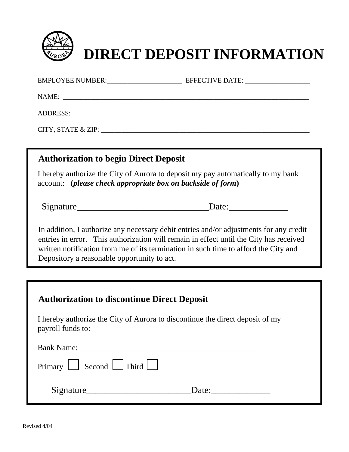

EMPLOYEE NUMBER: EFFECTIVE DATE:  $NAME:$ ADDRESS:  $CITY, STATE & ZIP:$ I hereby authorize the City of Aurora to deposit my pay automatically to my bank account: **(***please check appropriate box on backside of form***) Authorization to begin Direct Deposit**

Signature Date:

In addition, I authorize any necessary debit entries and/or adjustments for any credit entries in error. This authorization will remain in effect until the City has received written notification from me of its termination in such time to afford the City and Depository a reasonable opportunity to act.

## **Authorization to discontinue Direct Deposit**

I hereby authorize the City of Aurora to discontinue the direct deposit of my payroll funds to:

| <b>Bank Name:</b>                                  |       |  |
|----------------------------------------------------|-------|--|
| $\Gamma$ Primary $\Box$ Second $\Box$ Third $\Box$ |       |  |
| Signature                                          | Date: |  |